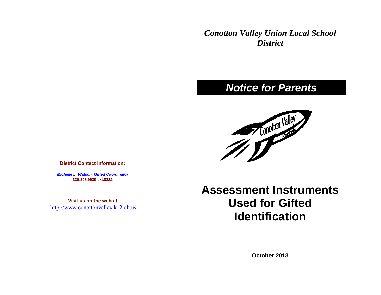*Conotton Valley Union Local School District*

## *Notice for Parents*



**District Contact Information:**

*Michelle L. Watson, Gifted Coordinator* **330.308.9939 ext.8222**

**Visit us on the web at** [http://www.conottonvalley.k12.oh.us](http://www.conottonvalley.k12.oh.us/) **Assessment Instruments Used for Gifted Identification**

**October 2013**